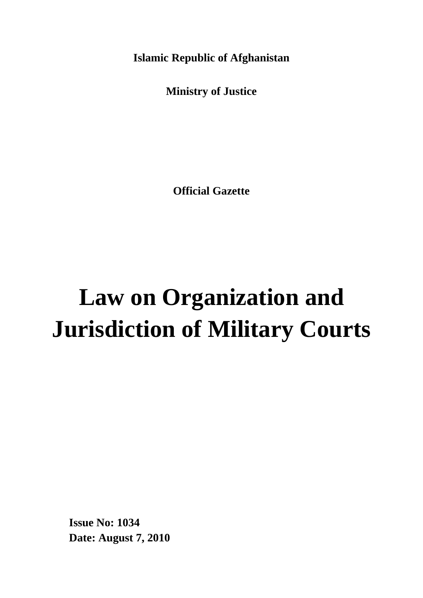**Islamic Republic of Afghanistan**

**Ministry of Justice**

**Official Gazette**

# **Law on Organization and Jurisdiction of Military Courts**

**Issue No: 1034 Date: August 7, 2010**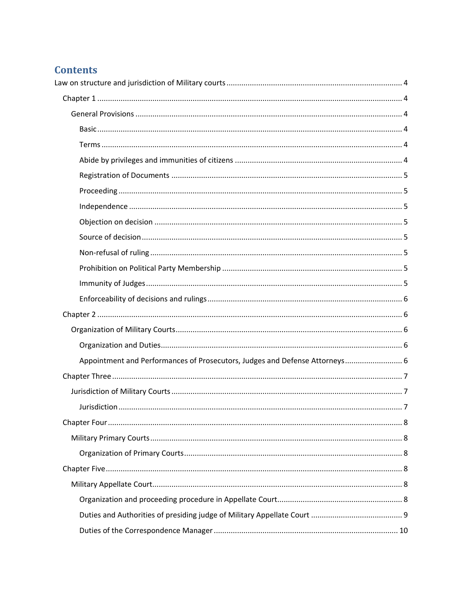## **Contents**

| Appointment and Performances of Prosecutors, Judges and Defense Attorneys 6 |
|-----------------------------------------------------------------------------|
|                                                                             |
|                                                                             |
|                                                                             |
|                                                                             |
|                                                                             |
|                                                                             |
|                                                                             |
|                                                                             |
|                                                                             |
|                                                                             |
|                                                                             |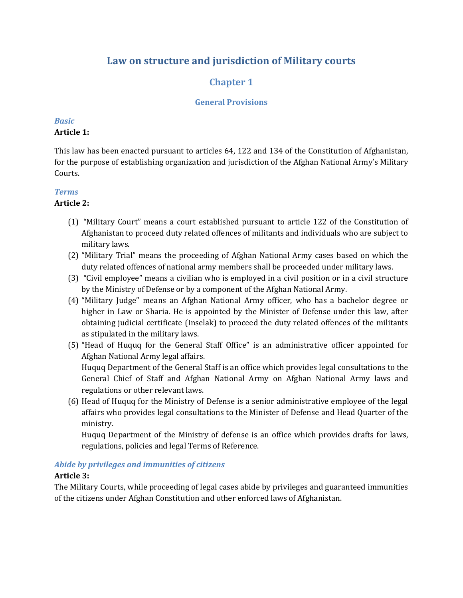## <span id="page-3-0"></span>**Law on structure and jurisdiction of Military courts**

## **Chapter 1**

#### **General Provisions**

#### <span id="page-3-3"></span><span id="page-3-2"></span><span id="page-3-1"></span>*Basic*

#### **Article 1:**

This law has been enacted pursuant to articles 64, 122 and 134 of the Constitution of Afghanistan, for the purpose of establishing organization and jurisdiction of the Afghan National Army's Military Courts.

#### <span id="page-3-4"></span>*Terms*

#### **Article 2:**

- (1) "Military Court" means a court established pursuant to article 122 of the Constitution of Afghanistan to proceed duty related offences of militants and individuals who are subject to military laws.
- (2) "Military Trial" means the proceeding of Afghan National Army cases based on which the duty related offences of national army members shall be proceeded under military laws.
- (3) "Civil employee" means a civilian who is employed in a civil position or in a civil structure by the Ministry of Defense or by a component of the Afghan National Army.
- (4) "Military Judge" means an Afghan National Army officer, who has a bachelor degree or higher in Law or Sharia. He is appointed by the Minister of Defense under this law, after obtaining judicial certificate (Inselak) to proceed the duty related offences of the militants as stipulated in the military laws.
- (5) "Head of Huquq for the General Staff Office" is an administrative officer appointed for Afghan National Army legal affairs.

Huquq Department of the General Staff is an office which provides legal consultations to the General Chief of Staff and Afghan National Army on Afghan National Army laws and regulations or other relevant laws.

(6) Head of Huquq for the Ministry of Defense is a senior administrative employee of the legal affairs who provides legal consultations to the Minister of Defense and Head Quarter of the ministry.

Huquq Department of the Ministry of defense is an office which provides drafts for laws, regulations, policies and legal Terms of Reference.

#### <span id="page-3-5"></span>*Abide by privileges and immunities of citizens*

#### **Article 3:**

The Military Courts, while proceeding of legal cases abide by privileges and guaranteed immunities of the citizens under Afghan Constitution and other enforced laws of Afghanistan.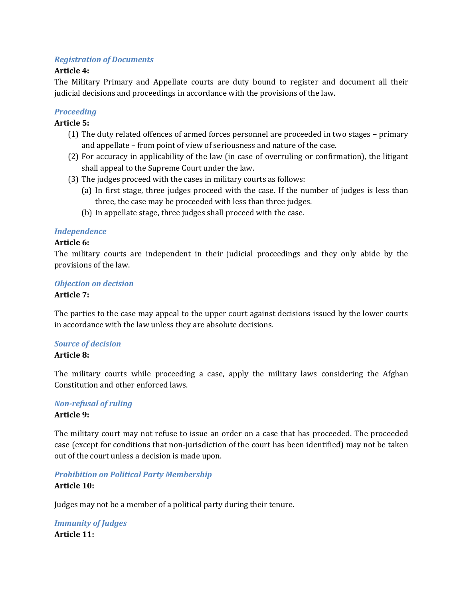#### <span id="page-4-0"></span>*Registration of Documents*

#### **Article 4:**

The Military Primary and Appellate courts are duty bound to register and document all their judicial decisions and proceedings in accordance with the provisions of the law.

#### <span id="page-4-1"></span>*Proceeding*

#### **Article 5:**

- (1) The duty related offences of armed forces personnel are proceeded in two stages primary and appellate – from point of view of seriousness and nature of the case.
- (2) For accuracy in applicability of the law (in case of overruling or confirmation), the litigant shall appeal to the Supreme Court under the law.
- (3) The judges proceed with the cases in military courts as follows:
	- (a) In first stage, three judges proceed with the case. If the number of judges is less than three, the case may be proceeded with less than three judges.
	- (b) In appellate stage, three judges shall proceed with the case.

#### <span id="page-4-2"></span>*Independence*

#### **Article 6:**

The military courts are independent in their judicial proceedings and they only abide by the provisions of the law.

#### <span id="page-4-3"></span>*Objection on decision*

#### **Article 7:**

The parties to the case may appeal to the upper court against decisions issued by the lower courts in accordance with the law unless they are absolute decisions.

#### <span id="page-4-4"></span>*Source of decision*

#### **Article 8:**

The military courts while proceeding a case, apply the military laws considering the Afghan Constitution and other enforced laws.

# <span id="page-4-5"></span>*Non-refusal of ruling*

#### **Article 9:**

The military court may not refuse to issue an order on a case that has proceeded. The proceeded case (except for conditions that non-jurisdiction of the court has been identified) may not be taken out of the court unless a decision is made upon.

#### <span id="page-4-6"></span>*Prohibition on Political Party Membership*

#### **Article 10:**

Judges may not be a member of a political party during their tenure.

#### <span id="page-4-7"></span>*Immunity of Judges* **Article 11:**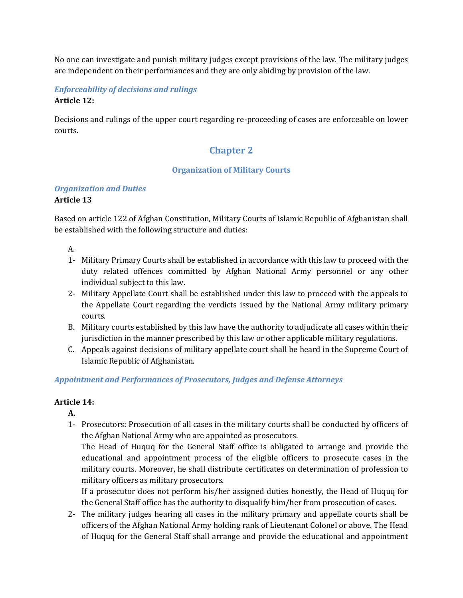No one can investigate and punish military judges except provisions of the law. The military judges are independent on their performances and they are only abiding by provision of the law.

### <span id="page-5-0"></span>*Enforceability of decisions and rulings* **Article 12:**

<span id="page-5-1"></span>Decisions and rulings of the upper court regarding re-proceeding of cases are enforceable on lower courts.

## **Chapter 2**

#### **Organization of Military Courts**

## <span id="page-5-3"></span><span id="page-5-2"></span>*Organization and Duties*

#### **Article 13**

Based on article 122 of Afghan Constitution, Military Courts of Islamic Republic of Afghanistan shall be established with the following structure and duties:

A.

- 1- Military Primary Courts shall be established in accordance with this law to proceed with the duty related offences committed by Afghan National Army personnel or any other individual subject to this law.
- 2- Military Appellate Court shall be established under this law to proceed with the appeals to the Appellate Court regarding the verdicts issued by the National Army military primary courts.
- B. Military courts established by this law have the authority to adjudicate all cases within their jurisdiction in the manner prescribed by this law or other applicable military regulations.
- C. Appeals against decisions of military appellate court shall be heard in the Supreme Court of Islamic Republic of Afghanistan.

## <span id="page-5-4"></span>*Appointment and Performances of Prosecutors, Judges and Defense Attorneys*

#### **Article 14:**

**A.**

1- Prosecutors: Prosecution of all cases in the military courts shall be conducted by officers of the Afghan National Army who are appointed as prosecutors.

The Head of Huquq for the General Staff office is obligated to arrange and provide the educational and appointment process of the eligible officers to prosecute cases in the military courts. Moreover, he shall distribute certificates on determination of profession to military officers as military prosecutors.

If a prosecutor does not perform his/her assigned duties honestly, the Head of Huquq for the General Staff office has the authority to disqualify him/her from prosecution of cases.

2- The military judges hearing all cases in the military primary and appellate courts shall be officers of the Afghan National Army holding rank of Lieutenant Colonel or above. The Head of Huquq for the General Staff shall arrange and provide the educational and appointment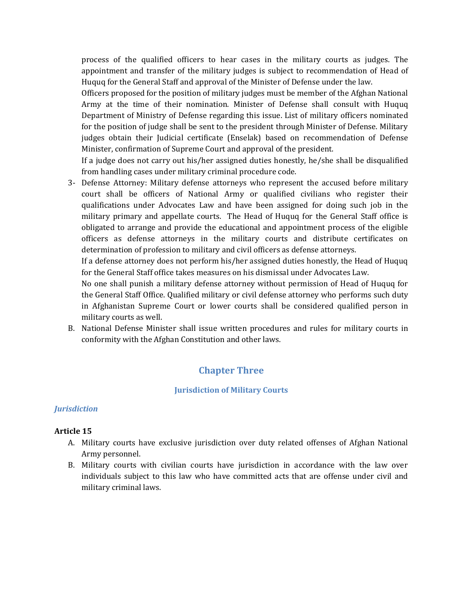process of the qualified officers to hear cases in the military courts as judges. The appointment and transfer of the military judges is subject to recommendation of Head of Huquq for the General Staff and approval of the Minister of Defense under the law.

Officers proposed for the position of military judges must be member of the Afghan National Army at the time of their nomination. Minister of Defense shall consult with Huquq Department of Ministry of Defense regarding this issue. List of military officers nominated for the position of judge shall be sent to the president through Minister of Defense. Military judges obtain their Judicial certificate (Enselak) based on recommendation of Defense Minister, confirmation of Supreme Court and approval of the president.

If a judge does not carry out his/her assigned duties honestly, he/she shall be disqualified from handling cases under military criminal procedure code.

3- Defense Attorney: Military defense attorneys who represent the accused before military court shall be officers of National Army or qualified civilians who register their qualifications under Advocates Law and have been assigned for doing such job in the military primary and appellate courts. The Head of Huquq for the General Staff office is obligated to arrange and provide the educational and appointment process of the eligible officers as defense attorneys in the military courts and distribute certificates on determination of profession to military and civil officers as defense attorneys.

If a defense attorney does not perform his/her assigned duties honestly, the Head of Huquq for the General Staff office takes measures on his dismissal under Advocates Law.

No one shall punish a military defense attorney without permission of Head of Huquq for the General Staff Office. Qualified military or civil defense attorney who performs such duty in Afghanistan Supreme Court or lower courts shall be considered qualified person in military courts as well.

<span id="page-6-0"></span>B. National Defense Minister shall issue written procedures and rules for military courts in conformity with the Afghan Constitution and other laws.

## **Chapter Three**

#### **Jurisdiction of Military Courts**

#### <span id="page-6-2"></span><span id="page-6-1"></span>*Jurisdiction*

#### **Article 15**

- A. Military courts have exclusive jurisdiction over duty related offenses of Afghan National Army personnel.
- B. Military courts with civilian courts have jurisdiction in accordance with the law over individuals subject to this law who have committed acts that are offense under civil and military criminal laws.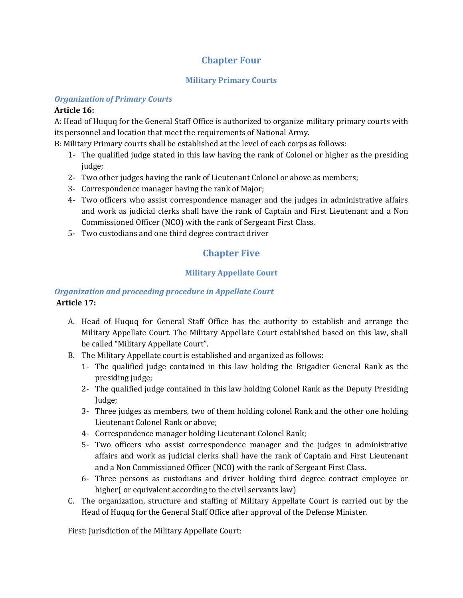## **Chapter Four**

#### **Military Primary Courts**

#### <span id="page-7-2"></span><span id="page-7-1"></span><span id="page-7-0"></span>*Organization of Primary Courts*

#### **Article 16:**

A: Head of Huquq for the General Staff Office is authorized to organize military primary courts with its personnel and location that meet the requirements of National Army.

B: Military Primary courts shall be established at the level of each corps as follows:

- 1- The qualified judge stated in this law having the rank of Colonel or higher as the presiding judge;
- 2- Two other judges having the rank of Lieutenant Colonel or above as members;
- 3- Correspondence manager having the rank of Major;
- 4- Two officers who assist correspondence manager and the judges in administrative affairs and work as judicial clerks shall have the rank of Captain and First Lieutenant and a Non Commissioned Officer (NCO) with the rank of Sergeant First Class.
- <span id="page-7-3"></span>5- Two custodians and one third degree contract driver

## **Chapter Five**

## **Military Appellate Court**

### <span id="page-7-5"></span><span id="page-7-4"></span>*Organization and proceeding procedure in Appellate Court* **Article 17:**

- A. Head of Huquq for General Staff Office has the authority to establish and arrange the Military Appellate Court. The Military Appellate Court established based on this law, shall be called "Military Appellate Court".
- B. The Military Appellate court is established and organized as follows:
	- 1- The qualified judge contained in this law holding the Brigadier General Rank as the presiding judge;
	- 2- The qualified judge contained in this law holding Colonel Rank as the Deputy Presiding Judge;
	- 3- Three judges as members, two of them holding colonel Rank and the other one holding Lieutenant Colonel Rank or above;
	- 4- Correspondence manager holding Lieutenant Colonel Rank;
	- 5- Two officers who assist correspondence manager and the judges in administrative affairs and work as judicial clerks shall have the rank of Captain and First Lieutenant and a Non Commissioned Officer (NCO) with the rank of Sergeant First Class.
	- 6- Three persons as custodians and driver holding third degree contract employee or higher( or equivalent according to the civil servants law)
- C. The organization, structure and staffing of Military Appellate Court is carried out by the Head of Huquq for the General Staff Office after approval of the Defense Minister.

First: Jurisdiction of the Military Appellate Court: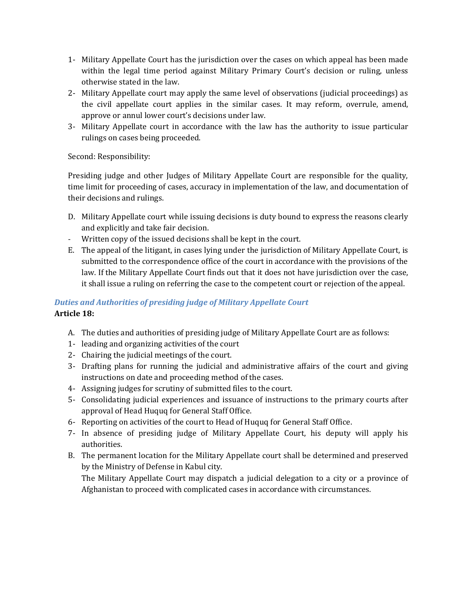- 1- Military Appellate Court has the jurisdiction over the cases on which appeal has been made within the legal time period against Military Primary Court's decision or ruling, unless otherwise stated in the law.
- 2- Military Appellate court may apply the same level of observations (judicial proceedings) as the civil appellate court applies in the similar cases. It may reform, overrule, amend, approve or annul lower court's decisions under law.
- 3- Military Appellate court in accordance with the law has the authority to issue particular rulings on cases being proceeded.

Second: Responsibility:

Presiding judge and other Judges of Military Appellate Court are responsible for the quality, time limit for proceeding of cases, accuracy in implementation of the law, and documentation of their decisions and rulings.

- D. Military Appellate court while issuing decisions is duty bound to express the reasons clearly and explicitly and take fair decision.
- Written copy of the issued decisions shall be kept in the court.
- E. The appeal of the litigant, in cases lying under the jurisdiction of Military Appellate Court, is submitted to the correspondence office of the court in accordance with the provisions of the law. If the Military Appellate Court finds out that it does not have jurisdiction over the case, it shall issue a ruling on referring the case to the competent court or rejection of the appeal.

## <span id="page-8-0"></span>*Duties and Authorities of presiding judge of Military Appellate Court* **Article 18:**

- A. The duties and authorities of presiding judge of Military Appellate Court are as follows:
- 1- leading and organizing activities of the court
- 2- Chairing the judicial meetings of the court.
- 3- Drafting plans for running the judicial and administrative affairs of the court and giving instructions on date and proceeding method of the cases.
- 4- Assigning judges for scrutiny of submitted files to the court.
- 5- Consolidating judicial experiences and issuance of instructions to the primary courts after approval of Head Huquq for General Staff Office.
- 6- Reporting on activities of the court to Head of Huquq for General Staff Office.
- 7- In absence of presiding judge of Military Appellate Court, his deputy will apply his authorities.
- B. The permanent location for the Military Appellate court shall be determined and preserved by the Ministry of Defense in Kabul city.

The Military Appellate Court may dispatch a judicial delegation to a city or a province of Afghanistan to proceed with complicated cases in accordance with circumstances.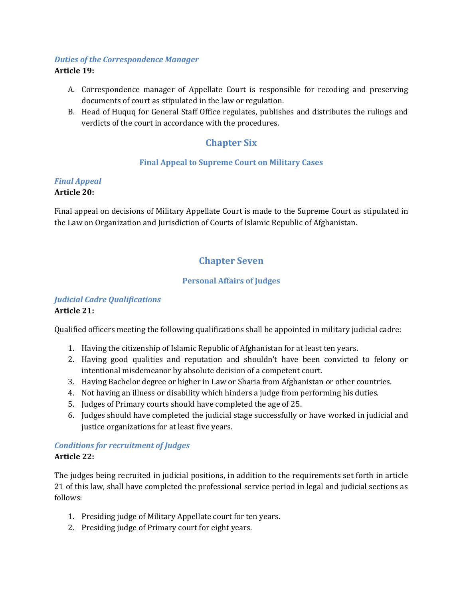#### <span id="page-9-0"></span>*Duties of the Correspondence Manager*

#### **Article 19:**

- A. Correspondence manager of Appellate Court is responsible for recoding and preserving documents of court as stipulated in the law or regulation.
- <span id="page-9-1"></span>B. Head of Huquq for General Staff Office regulates, publishes and distributes the rulings and verdicts of the court in accordance with the procedures.

## **Chapter Six**

#### **Final Appeal to Supreme Court on Military Cases**

#### <span id="page-9-3"></span><span id="page-9-2"></span>*Final Appeal*

#### **Article 20:**

Final appeal on decisions of Military Appellate Court is made to the Supreme Court as stipulated in the Law on Organization and Jurisdiction of Courts of Islamic Republic of Afghanistan.

## **Chapter Seven**

#### **Personal Affairs of Judges**

#### <span id="page-9-6"></span><span id="page-9-5"></span><span id="page-9-4"></span>*Judicial Cadre Qualifications* **Article 21:**

Qualified officers meeting the following qualifications shall be appointed in military judicial cadre:

- 1. Having the citizenship of Islamic Republic of Afghanistan for at least ten years.
- 2. Having good qualities and reputation and shouldn't have been convicted to felony or intentional misdemeanor by absolute decision of a competent court.
- 3. Having Bachelor degree or higher in Law or Sharia from Afghanistan or other countries.
- 4. Not having an illness or disability which hinders a judge from performing his duties.
- 5. Judges of Primary courts should have completed the age of 25.
- 6. Judges should have completed the judicial stage successfully or have worked in judicial and justice organizations for at least five years.

#### <span id="page-9-7"></span>*Conditions for recruitment of Judges* **Article 22:**

The judges being recruited in judicial positions, in addition to the requirements set forth in article 21 of this law, shall have completed the professional service period in legal and judicial sections as follows:

- 1. Presiding judge of Military Appellate court for ten years.
- 2. Presiding judge of Primary court for eight years.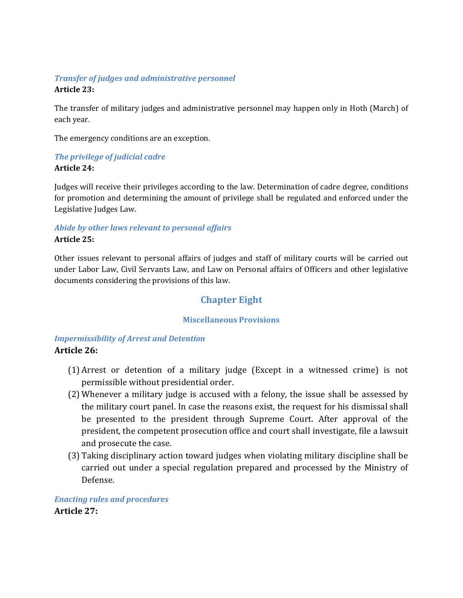## <span id="page-10-0"></span>*Transfer of judges and administrative personnel*

#### **Article 23:**

The transfer of military judges and administrative personnel may happen only in Hoth (March) of each year.

The emergency conditions are an exception.

## <span id="page-10-1"></span>*The privilege of judicial cadre*

#### **Article 24:**

Judges will receive their privileges according to the law. Determination of cadre degree, conditions for promotion and determining the amount of privilege shall be regulated and enforced under the Legislative Judges Law.

#### <span id="page-10-2"></span>*Abide by other laws relevant to personal affairs* **Article 25:**

Other issues relevant to personal affairs of judges and staff of military courts will be carried out under Labor Law, Civil Servants Law, and Law on Personal affairs of Officers and other legislative documents considering the provisions of this law.

## **Chapter Eight**

#### **Miscellaneous Provisions**

#### <span id="page-10-5"></span><span id="page-10-4"></span><span id="page-10-3"></span>*Impermissibility of Arrest and Detention* **Article 26:**

- (1) Arrest or detention of a military judge (Except in a witnessed crime) is not permissible without presidential order.
- (2) Whenever a military judge is accused with a felony, the issue shall be assessed by the military court panel. In case the reasons exist, the request for his dismissal shall be presented to the president through Supreme Court. After approval of the president, the competent prosecution office and court shall investigate, file a lawsuit and prosecute the case.
- (3) Taking disciplinary action toward judges when violating military discipline shall be carried out under a special regulation prepared and processed by the Ministry of Defense.

<span id="page-10-6"></span>*Enacting rules and procedures* **Article 27:**